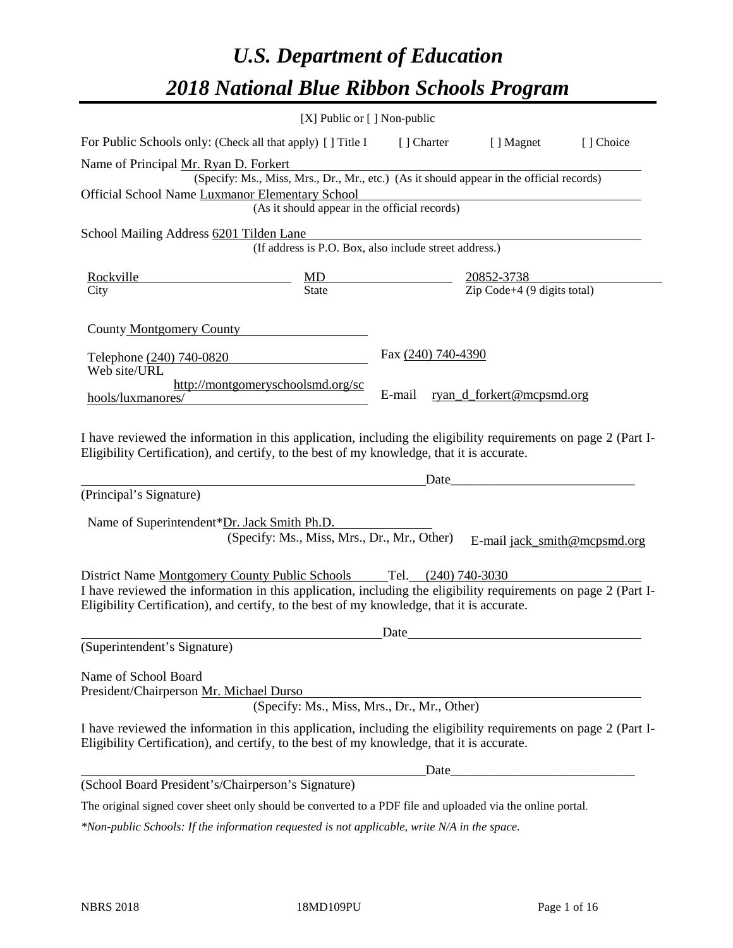# *U.S. Department of Education 2018 National Blue Ribbon Schools Program*

|                                                                                                                                                                                                                                                                                                                                                              | [X] Public or [] Non-public                                                              |                    |                                                                                          |           |
|--------------------------------------------------------------------------------------------------------------------------------------------------------------------------------------------------------------------------------------------------------------------------------------------------------------------------------------------------------------|------------------------------------------------------------------------------------------|--------------------|------------------------------------------------------------------------------------------|-----------|
| For Public Schools only: (Check all that apply) [] Title I                                                                                                                                                                                                                                                                                                   |                                                                                          | [ ] Charter        | [ ] Magnet                                                                               | [] Choice |
| Name of Principal Mr. Ryan D. Forkert                                                                                                                                                                                                                                                                                                                        |                                                                                          |                    |                                                                                          |           |
|                                                                                                                                                                                                                                                                                                                                                              | (Specify: Ms., Miss, Mrs., Dr., Mr., etc.) (As it should appear in the official records) |                    |                                                                                          |           |
| Official School Name Luxmanor Elementary School                                                                                                                                                                                                                                                                                                              |                                                                                          |                    |                                                                                          |           |
|                                                                                                                                                                                                                                                                                                                                                              | (As it should appear in the official records)                                            |                    |                                                                                          |           |
| School Mailing Address 6201 Tilden Lane                                                                                                                                                                                                                                                                                                                      |                                                                                          |                    |                                                                                          |           |
|                                                                                                                                                                                                                                                                                                                                                              | (If address is P.O. Box, also include street address.)                                   |                    |                                                                                          |           |
| Rockville                                                                                                                                                                                                                                                                                                                                                    |                                                                                          |                    |                                                                                          |           |
| City                                                                                                                                                                                                                                                                                                                                                         | $\frac{MD}{State}$                                                                       |                    | $\frac{20852-3738}{\text{Zip Code}+4 (9 digits total)}$                                  |           |
|                                                                                                                                                                                                                                                                                                                                                              |                                                                                          |                    |                                                                                          |           |
| County Montgomery County                                                                                                                                                                                                                                                                                                                                     |                                                                                          |                    |                                                                                          |           |
| Telephone (240) 740-0820                                                                                                                                                                                                                                                                                                                                     |                                                                                          | Fax (240) 740-4390 |                                                                                          |           |
| Web site/URL                                                                                                                                                                                                                                                                                                                                                 |                                                                                          |                    |                                                                                          |           |
|                                                                                                                                                                                                                                                                                                                                                              | http://montgomeryschoolsmd.org/sc                                                        |                    |                                                                                          |           |
| hools/luxmanores/                                                                                                                                                                                                                                                                                                                                            |                                                                                          | E-mail             | ryan_d_forkert@mcpsmd.org                                                                |           |
| (Principal's Signature)<br>Name of Superintendent*Dr. Jack Smith Ph.D.<br>District Name Montgomery County Public Schools Tel. (240) 740-3030<br>I have reviewed the information in this application, including the eligibility requirements on page 2 (Part I-<br>Eligibility Certification), and certify, to the best of my knowledge, that it is accurate. | (Specify: Ms., Miss, Mrs., Dr., Mr., Other)                                              | Date               | <u> 1989 - Johann John Stone, mars eta biztanleria (</u><br>E-mail jack_smith@mcpsmd.org |           |
|                                                                                                                                                                                                                                                                                                                                                              |                                                                                          |                    |                                                                                          |           |
| (Superintendent's Signature)                                                                                                                                                                                                                                                                                                                                 |                                                                                          | Date               |                                                                                          |           |
|                                                                                                                                                                                                                                                                                                                                                              |                                                                                          |                    |                                                                                          |           |
| Name of School Board<br>President/Chairperson Mr. Michael Durso                                                                                                                                                                                                                                                                                              | (Specify: Ms., Miss, Mrs., Dr., Mr., Other)                                              |                    |                                                                                          |           |
| I have reviewed the information in this application, including the eligibility requirements on page 2 (Part I-<br>Eligibility Certification), and certify, to the best of my knowledge, that it is accurate.                                                                                                                                                 |                                                                                          |                    |                                                                                          |           |
|                                                                                                                                                                                                                                                                                                                                                              |                                                                                          | Date               |                                                                                          |           |
| (School Board President's/Chairperson's Signature)                                                                                                                                                                                                                                                                                                           |                                                                                          |                    |                                                                                          |           |
| The original signed cover sheet only should be converted to a PDF file and uploaded via the online portal.                                                                                                                                                                                                                                                   |                                                                                          |                    |                                                                                          |           |

*\*Non-public Schools: If the information requested is not applicable, write N/A in the space.*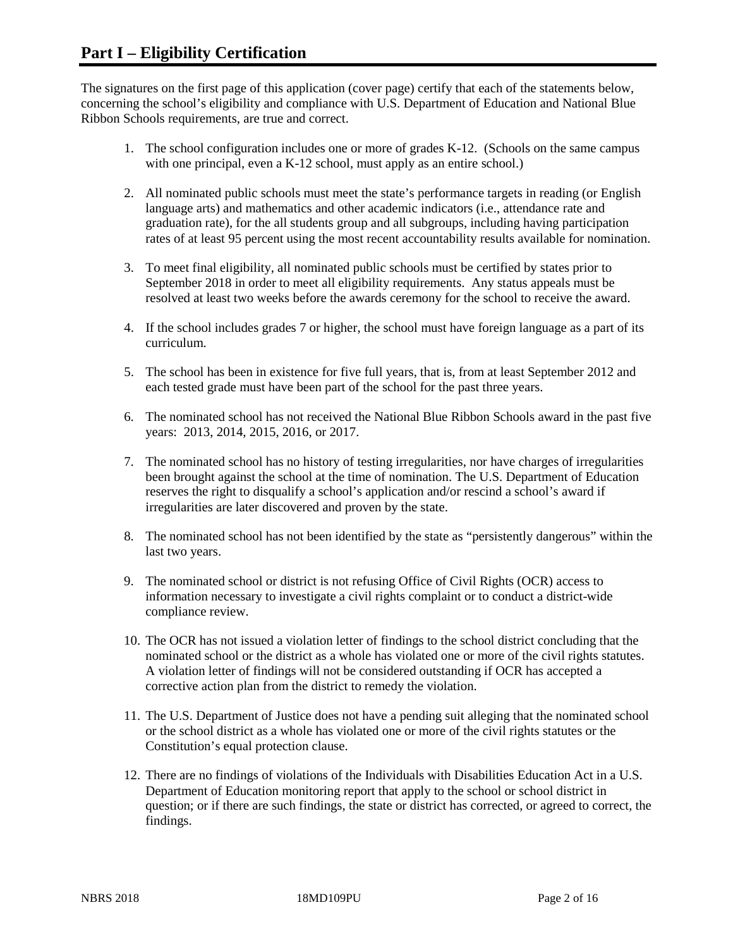The signatures on the first page of this application (cover page) certify that each of the statements below, concerning the school's eligibility and compliance with U.S. Department of Education and National Blue Ribbon Schools requirements, are true and correct.

- 1. The school configuration includes one or more of grades K-12. (Schools on the same campus with one principal, even a K-12 school, must apply as an entire school.)
- 2. All nominated public schools must meet the state's performance targets in reading (or English language arts) and mathematics and other academic indicators (i.e., attendance rate and graduation rate), for the all students group and all subgroups, including having participation rates of at least 95 percent using the most recent accountability results available for nomination.
- 3. To meet final eligibility, all nominated public schools must be certified by states prior to September 2018 in order to meet all eligibility requirements. Any status appeals must be resolved at least two weeks before the awards ceremony for the school to receive the award.
- 4. If the school includes grades 7 or higher, the school must have foreign language as a part of its curriculum.
- 5. The school has been in existence for five full years, that is, from at least September 2012 and each tested grade must have been part of the school for the past three years.
- 6. The nominated school has not received the National Blue Ribbon Schools award in the past five years: 2013, 2014, 2015, 2016, or 2017.
- 7. The nominated school has no history of testing irregularities, nor have charges of irregularities been brought against the school at the time of nomination. The U.S. Department of Education reserves the right to disqualify a school's application and/or rescind a school's award if irregularities are later discovered and proven by the state.
- 8. The nominated school has not been identified by the state as "persistently dangerous" within the last two years.
- 9. The nominated school or district is not refusing Office of Civil Rights (OCR) access to information necessary to investigate a civil rights complaint or to conduct a district-wide compliance review.
- 10. The OCR has not issued a violation letter of findings to the school district concluding that the nominated school or the district as a whole has violated one or more of the civil rights statutes. A violation letter of findings will not be considered outstanding if OCR has accepted a corrective action plan from the district to remedy the violation.
- 11. The U.S. Department of Justice does not have a pending suit alleging that the nominated school or the school district as a whole has violated one or more of the civil rights statutes or the Constitution's equal protection clause.
- 12. There are no findings of violations of the Individuals with Disabilities Education Act in a U.S. Department of Education monitoring report that apply to the school or school district in question; or if there are such findings, the state or district has corrected, or agreed to correct, the findings.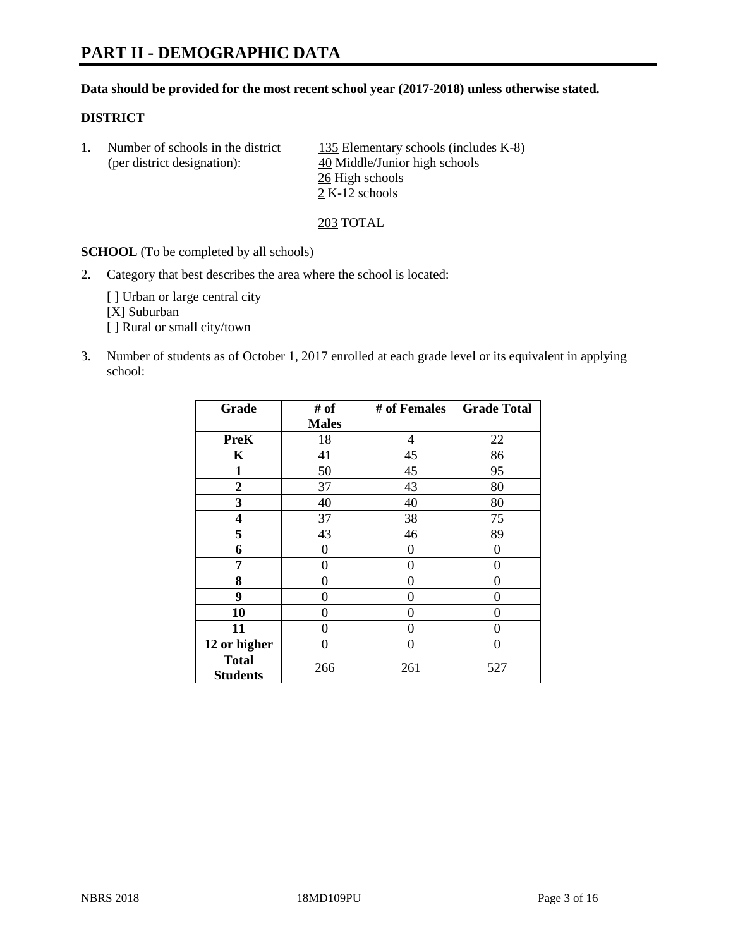#### **Data should be provided for the most recent school year (2017-2018) unless otherwise stated.**

#### **DISTRICT**

1. Number of schools in the district  $135$  Elementary schools (includes K-8) (per district designation): 40 Middle/Junior high schools 26 High schools 2 K-12 schools

203 TOTAL

**SCHOOL** (To be completed by all schools)

2. Category that best describes the area where the school is located:

[] Urban or large central city [X] Suburban [] Rural or small city/town

3. Number of students as of October 1, 2017 enrolled at each grade level or its equivalent in applying school:

| Grade                           | # of         | # of Females   | <b>Grade Total</b> |
|---------------------------------|--------------|----------------|--------------------|
|                                 | <b>Males</b> |                |                    |
| <b>PreK</b>                     | 18           | $\overline{4}$ | 22                 |
| K                               | 41           | 45             | 86                 |
| 1                               | 50           | 45             | 95                 |
| $\overline{2}$                  | 37           | 43             | 80                 |
| 3                               | 40           | 40             | 80                 |
| 4                               | 37           | 38             | 75                 |
| 5                               | 43           | 46             | 89                 |
| 6                               | 0            | 0              | 0                  |
| 7                               | 0            | 0              | 0                  |
| 8                               | 0            | 0              | 0                  |
| 9                               | 0            | 0              | 0                  |
| 10                              | 0            | 0              | 0                  |
| 11                              | 0            | 0              | 0                  |
| 12 or higher                    | 0            | 0              | 0                  |
| <b>Total</b><br><b>Students</b> | 266          | 261            | 527                |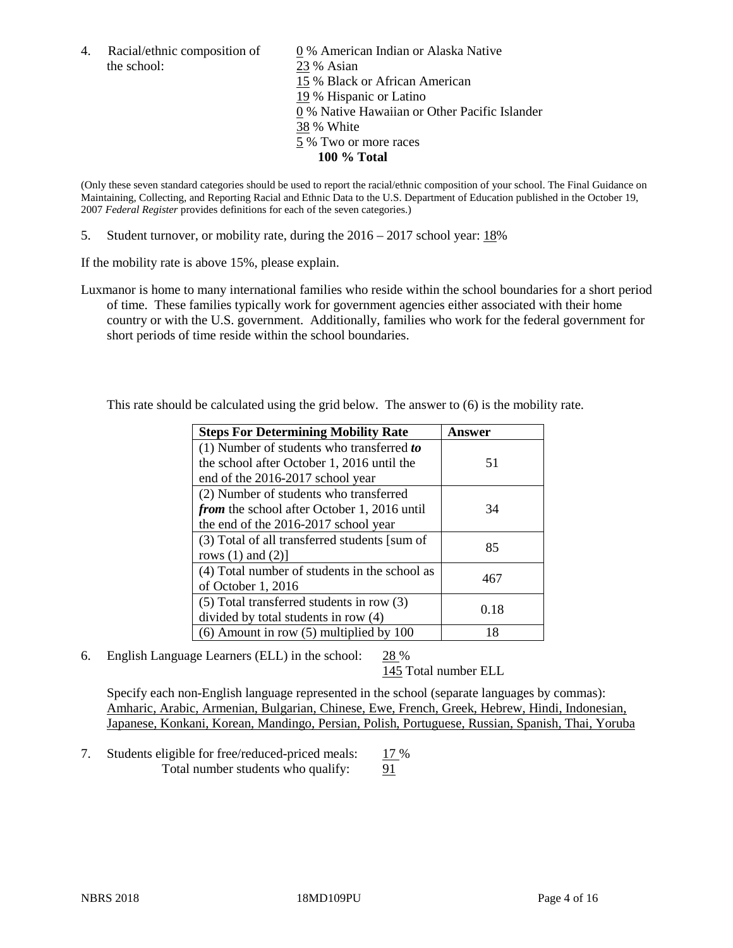the school: 23 % Asian

4. Racial/ethnic composition of  $\qquad 0\%$  American Indian or Alaska Native 15 % Black or African American 19 % Hispanic or Latino 0 % Native Hawaiian or Other Pacific Islander 38 % White 5 % Two or more races **100 % Total**

(Only these seven standard categories should be used to report the racial/ethnic composition of your school. The Final Guidance on Maintaining, Collecting, and Reporting Racial and Ethnic Data to the U.S. Department of Education published in the October 19, 2007 *Federal Register* provides definitions for each of the seven categories.)

5. Student turnover, or mobility rate, during the 2016 – 2017 school year: 18%

If the mobility rate is above 15%, please explain.

Luxmanor is home to many international families who reside within the school boundaries for a short period of time. These families typically work for government agencies either associated with their home country or with the U.S. government. Additionally, families who work for the federal government for short periods of time reside within the school boundaries.

This rate should be calculated using the grid below. The answer to (6) is the mobility rate.

| <b>Steps For Determining Mobility Rate</b>         | Answer |  |
|----------------------------------------------------|--------|--|
| $(1)$ Number of students who transferred to        |        |  |
| the school after October 1, 2016 until the         | 51     |  |
| end of the 2016-2017 school year                   |        |  |
| (2) Number of students who transferred             |        |  |
| <i>from</i> the school after October 1, 2016 until | 34     |  |
| the end of the 2016-2017 school year               |        |  |
| (3) Total of all transferred students [sum of      | 85     |  |
| rows $(1)$ and $(2)$ ]                             |        |  |
| (4) Total number of students in the school as      | 467    |  |
| of October 1, 2016                                 |        |  |
| $(5)$ Total transferred students in row $(3)$      | 0.18   |  |
| divided by total students in row (4)               |        |  |
| $(6)$ Amount in row $(5)$ multiplied by 100        | 18     |  |

6. English Language Learners (ELL) in the school: 28 %

145 Total number ELL

Specify each non-English language represented in the school (separate languages by commas): Amharic, Arabic, Armenian, Bulgarian, Chinese, Ewe, French, Greek, Hebrew, Hindi, Indonesian, Japanese, Konkani, Korean, Mandingo, Persian, Polish, Portuguese, Russian, Spanish, Thai, Yoruba

7. Students eligible for free/reduced-priced meals: 17 % Total number students who qualify: 91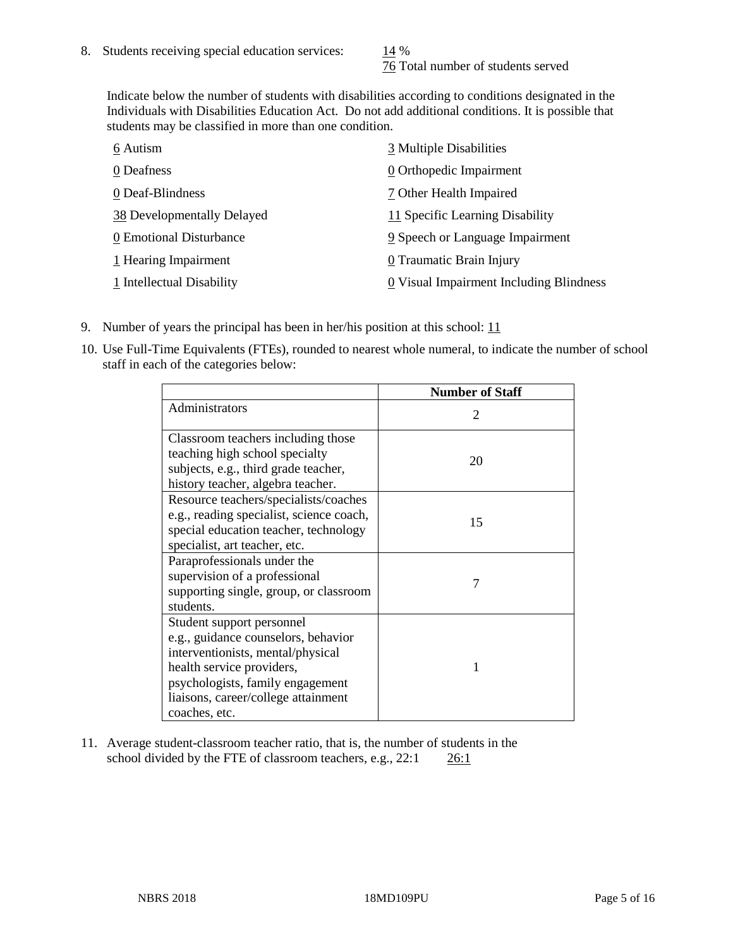76 Total number of students served

Indicate below the number of students with disabilities according to conditions designated in the Individuals with Disabilities Education Act. Do not add additional conditions. It is possible that students may be classified in more than one condition.

| 6 Autism                   | 3 Multiple Disabilities                 |
|----------------------------|-----------------------------------------|
| 0 Deafness                 | 0 Orthopedic Impairment                 |
| 0 Deaf-Blindness           | 7 Other Health Impaired                 |
| 38 Developmentally Delayed | 11 Specific Learning Disability         |
| 0 Emotional Disturbance    | 9 Speech or Language Impairment         |
| 1 Hearing Impairment       | 0 Traumatic Brain Injury                |
| 1 Intellectual Disability  | 0 Visual Impairment Including Blindness |

- 9. Number of years the principal has been in her/his position at this school:  $11$
- 10. Use Full-Time Equivalents (FTEs), rounded to nearest whole numeral, to indicate the number of school staff in each of the categories below:

|                                                                                                                                                                                                                                | <b>Number of Staff</b>      |
|--------------------------------------------------------------------------------------------------------------------------------------------------------------------------------------------------------------------------------|-----------------------------|
| Administrators                                                                                                                                                                                                                 | $\mathcal{D}_{\mathcal{L}}$ |
| Classroom teachers including those<br>teaching high school specialty<br>subjects, e.g., third grade teacher,<br>history teacher, algebra teacher.                                                                              | 20                          |
| Resource teachers/specialists/coaches<br>e.g., reading specialist, science coach,<br>special education teacher, technology<br>specialist, art teacher, etc.                                                                    | 15                          |
| Paraprofessionals under the<br>supervision of a professional<br>supporting single, group, or classroom<br>students.                                                                                                            | 7                           |
| Student support personnel<br>e.g., guidance counselors, behavior<br>interventionists, mental/physical<br>health service providers,<br>psychologists, family engagement<br>liaisons, career/college attainment<br>coaches, etc. | 1                           |

11. Average student-classroom teacher ratio, that is, the number of students in the school divided by the FTE of classroom teachers, e.g., 22:1 26:1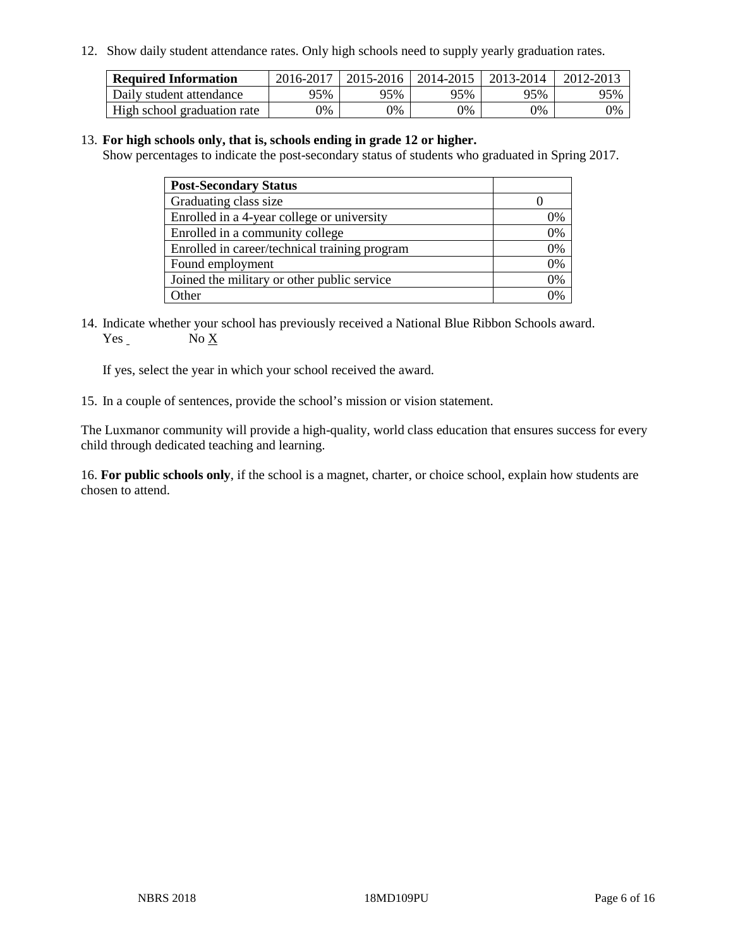12. Show daily student attendance rates. Only high schools need to supply yearly graduation rates.

| <b>Required Information</b> | 2016-2017 | 2015-2016 | $12014 - 2015$ | 2013-2014 | 2012-2013 |
|-----------------------------|-----------|-----------|----------------|-----------|-----------|
| Daily student attendance    | 95%       | 95%       | 95%            | 95%       | 95%       |
| High school graduation rate | 0%        | 0%        | 0%             | 9%        | 0%        |

#### 13. **For high schools only, that is, schools ending in grade 12 or higher.**

Show percentages to indicate the post-secondary status of students who graduated in Spring 2017.

| <b>Post-Secondary Status</b>                  |              |
|-----------------------------------------------|--------------|
| Graduating class size                         |              |
| Enrolled in a 4-year college or university    | 0%           |
| Enrolled in a community college               | 0%           |
| Enrolled in career/technical training program | 0%           |
| Found employment                              | 0%           |
| Joined the military or other public service   | 0%           |
| Other                                         | $\gamma_{0}$ |

14. Indicate whether your school has previously received a National Blue Ribbon Schools award. Yes No X

If yes, select the year in which your school received the award.

15. In a couple of sentences, provide the school's mission or vision statement.

The Luxmanor community will provide a high-quality, world class education that ensures success for every child through dedicated teaching and learning.

16. **For public schools only**, if the school is a magnet, charter, or choice school, explain how students are chosen to attend.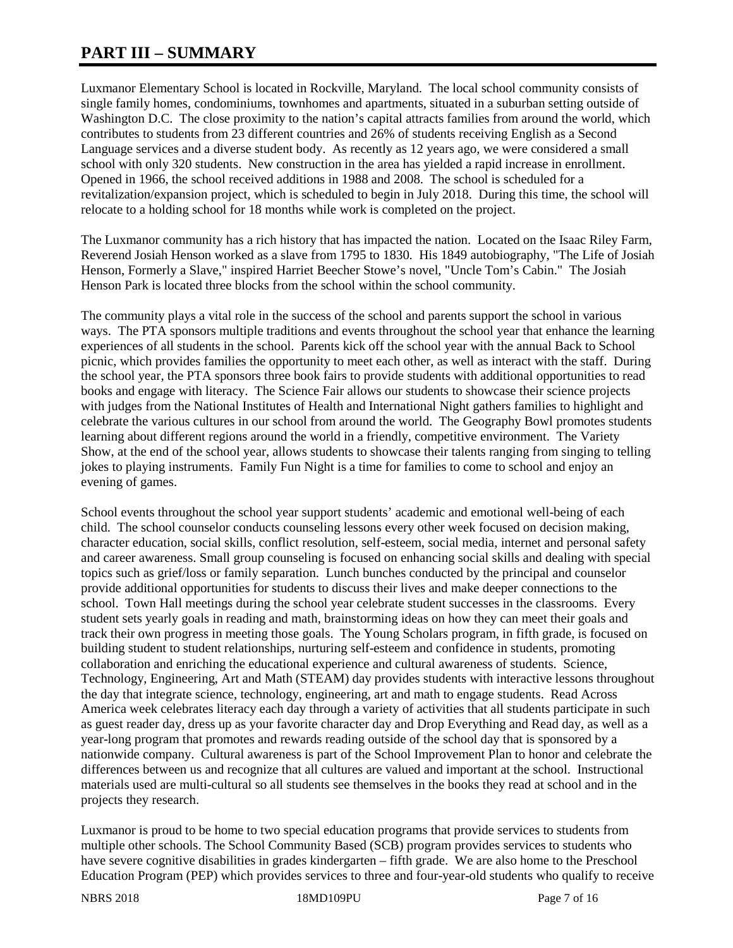## **PART III – SUMMARY**

Luxmanor Elementary School is located in Rockville, Maryland. The local school community consists of single family homes, condominiums, townhomes and apartments, situated in a suburban setting outside of Washington D.C. The close proximity to the nation's capital attracts families from around the world, which contributes to students from 23 different countries and 26% of students receiving English as a Second Language services and a diverse student body. As recently as 12 years ago, we were considered a small school with only 320 students. New construction in the area has yielded a rapid increase in enrollment. Opened in 1966, the school received additions in 1988 and 2008. The school is scheduled for a revitalization/expansion project, which is scheduled to begin in July 2018. During this time, the school will relocate to a holding school for 18 months while work is completed on the project.

The Luxmanor community has a rich history that has impacted the nation. Located on the Isaac Riley Farm, Reverend Josiah Henson worked as a slave from 1795 to 1830. His 1849 autobiography, "The Life of Josiah Henson, Formerly a Slave," inspired Harriet Beecher Stowe's novel, "Uncle Tom's Cabin." The Josiah Henson Park is located three blocks from the school within the school community.

The community plays a vital role in the success of the school and parents support the school in various ways. The PTA sponsors multiple traditions and events throughout the school year that enhance the learning experiences of all students in the school. Parents kick off the school year with the annual Back to School picnic, which provides families the opportunity to meet each other, as well as interact with the staff. During the school year, the PTA sponsors three book fairs to provide students with additional opportunities to read books and engage with literacy. The Science Fair allows our students to showcase their science projects with judges from the National Institutes of Health and International Night gathers families to highlight and celebrate the various cultures in our school from around the world. The Geography Bowl promotes students learning about different regions around the world in a friendly, competitive environment. The Variety Show, at the end of the school year, allows students to showcase their talents ranging from singing to telling jokes to playing instruments. Family Fun Night is a time for families to come to school and enjoy an evening of games.

School events throughout the school year support students' academic and emotional well-being of each child. The school counselor conducts counseling lessons every other week focused on decision making, character education, social skills, conflict resolution, self-esteem, social media, internet and personal safety and career awareness. Small group counseling is focused on enhancing social skills and dealing with special topics such as grief/loss or family separation. Lunch bunches conducted by the principal and counselor provide additional opportunities for students to discuss their lives and make deeper connections to the school. Town Hall meetings during the school year celebrate student successes in the classrooms. Every student sets yearly goals in reading and math, brainstorming ideas on how they can meet their goals and track their own progress in meeting those goals. The Young Scholars program, in fifth grade, is focused on building student to student relationships, nurturing self-esteem and confidence in students, promoting collaboration and enriching the educational experience and cultural awareness of students. Science, Technology, Engineering, Art and Math (STEAM) day provides students with interactive lessons throughout the day that integrate science, technology, engineering, art and math to engage students. Read Across America week celebrates literacy each day through a variety of activities that all students participate in such as guest reader day, dress up as your favorite character day and Drop Everything and Read day, as well as a year-long program that promotes and rewards reading outside of the school day that is sponsored by a nationwide company. Cultural awareness is part of the School Improvement Plan to honor and celebrate the differences between us and recognize that all cultures are valued and important at the school. Instructional materials used are multi-cultural so all students see themselves in the books they read at school and in the projects they research.

Luxmanor is proud to be home to two special education programs that provide services to students from multiple other schools. The School Community Based (SCB) program provides services to students who have severe cognitive disabilities in grades kindergarten – fifth grade. We are also home to the Preschool Education Program (PEP) which provides services to three and four-year-old students who qualify to receive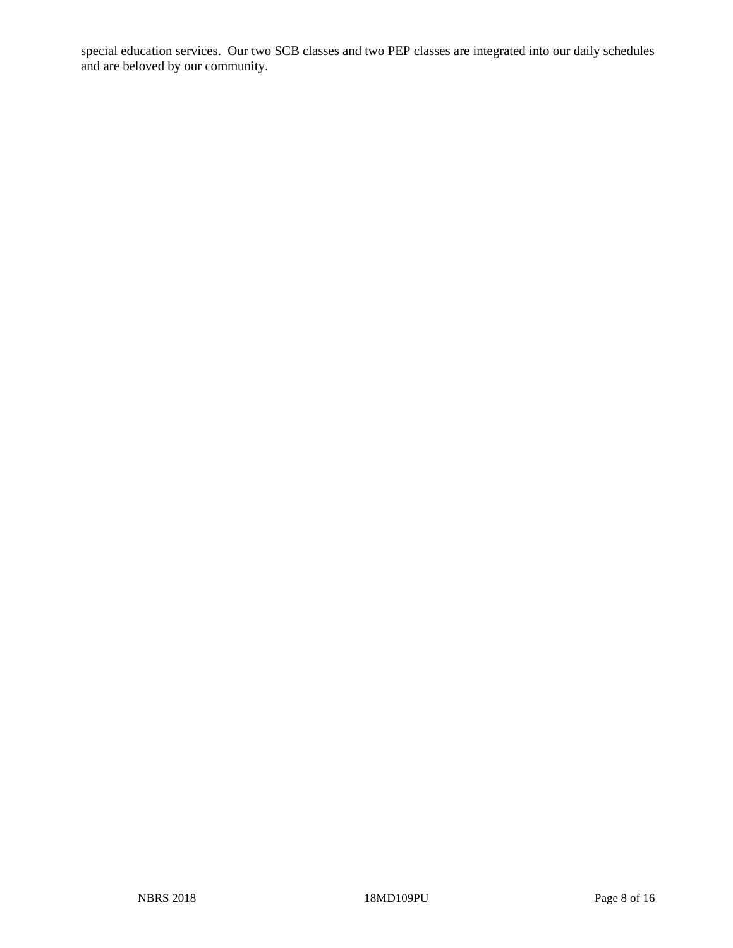special education services. Our two SCB classes and two PEP classes are integrated into our daily schedules and are beloved by our community.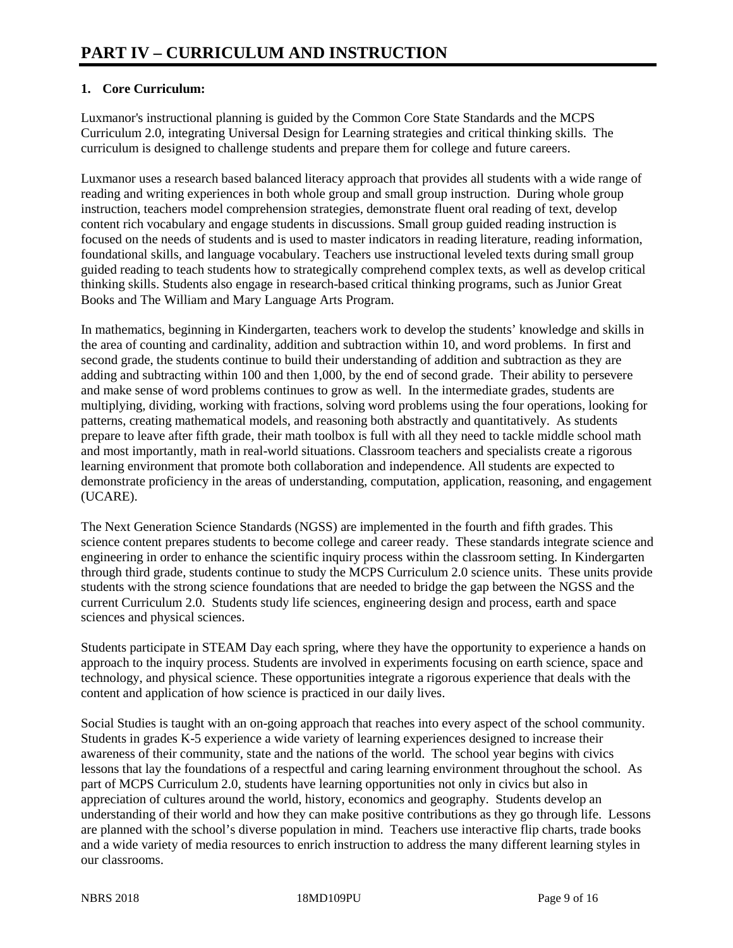### **1. Core Curriculum:**

Luxmanor's instructional planning is guided by the Common Core State Standards and the MCPS Curriculum 2.0, integrating Universal Design for Learning strategies and critical thinking skills. The curriculum is designed to challenge students and prepare them for college and future careers.

Luxmanor uses a research based balanced literacy approach that provides all students with a wide range of reading and writing experiences in both whole group and small group instruction. During whole group instruction, teachers model comprehension strategies, demonstrate fluent oral reading of text, develop content rich vocabulary and engage students in discussions. Small group guided reading instruction is focused on the needs of students and is used to master indicators in reading literature, reading information, foundational skills, and language vocabulary. Teachers use instructional leveled texts during small group guided reading to teach students how to strategically comprehend complex texts, as well as develop critical thinking skills. Students also engage in research-based critical thinking programs, such as Junior Great Books and The William and Mary Language Arts Program.

In mathematics, beginning in Kindergarten, teachers work to develop the students' knowledge and skills in the area of counting and cardinality, addition and subtraction within 10, and word problems. In first and second grade, the students continue to build their understanding of addition and subtraction as they are adding and subtracting within 100 and then 1,000, by the end of second grade. Their ability to persevere and make sense of word problems continues to grow as well. In the intermediate grades, students are multiplying, dividing, working with fractions, solving word problems using the four operations, looking for patterns, creating mathematical models, and reasoning both abstractly and quantitatively. As students prepare to leave after fifth grade, their math toolbox is full with all they need to tackle middle school math and most importantly, math in real-world situations. Classroom teachers and specialists create a rigorous learning environment that promote both collaboration and independence. All students are expected to demonstrate proficiency in the areas of understanding, computation, application, reasoning, and engagement (UCARE).

The Next Generation Science Standards (NGSS) are implemented in the fourth and fifth grades. This science content prepares students to become college and career ready. These standards integrate science and engineering in order to enhance the scientific inquiry process within the classroom setting. In Kindergarten through third grade, students continue to study the MCPS Curriculum 2.0 science units. These units provide students with the strong science foundations that are needed to bridge the gap between the NGSS and the current Curriculum 2.0. Students study life sciences, engineering design and process, earth and space sciences and physical sciences.

Students participate in STEAM Day each spring, where they have the opportunity to experience a hands on approach to the inquiry process. Students are involved in experiments focusing on earth science, space and technology, and physical science. These opportunities integrate a rigorous experience that deals with the content and application of how science is practiced in our daily lives.

Social Studies is taught with an on-going approach that reaches into every aspect of the school community. Students in grades K-5 experience a wide variety of learning experiences designed to increase their awareness of their community, state and the nations of the world. The school year begins with civics lessons that lay the foundations of a respectful and caring learning environment throughout the school. As part of MCPS Curriculum 2.0, students have learning opportunities not only in civics but also in appreciation of cultures around the world, history, economics and geography. Students develop an understanding of their world and how they can make positive contributions as they go through life. Lessons are planned with the school's diverse population in mind. Teachers use interactive flip charts, trade books and a wide variety of media resources to enrich instruction to address the many different learning styles in our classrooms.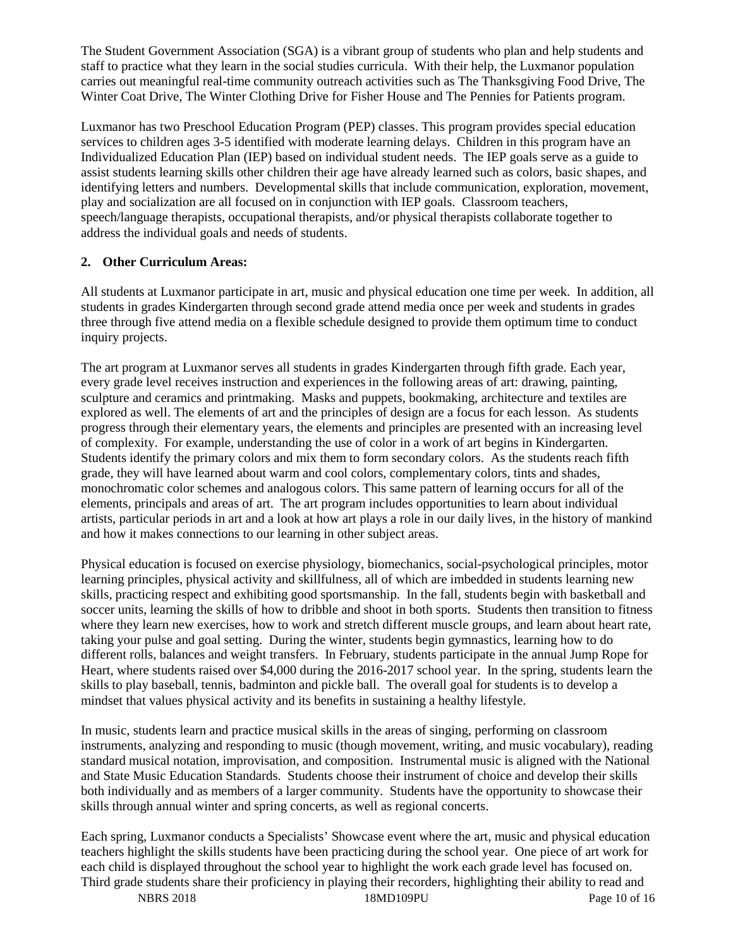The Student Government Association (SGA) is a vibrant group of students who plan and help students and staff to practice what they learn in the social studies curricula. With their help, the Luxmanor population carries out meaningful real-time community outreach activities such as The Thanksgiving Food Drive, The Winter Coat Drive, The Winter Clothing Drive for Fisher House and The Pennies for Patients program.

Luxmanor has two Preschool Education Program (PEP) classes. This program provides special education services to children ages 3-5 identified with moderate learning delays. Children in this program have an Individualized Education Plan (IEP) based on individual student needs. The IEP goals serve as a guide to assist students learning skills other children their age have already learned such as colors, basic shapes, and identifying letters and numbers. Developmental skills that include communication, exploration, movement, play and socialization are all focused on in conjunction with IEP goals. Classroom teachers, speech/language therapists, occupational therapists, and/or physical therapists collaborate together to address the individual goals and needs of students.

#### **2. Other Curriculum Areas:**

All students at Luxmanor participate in art, music and physical education one time per week. In addition, all students in grades Kindergarten through second grade attend media once per week and students in grades three through five attend media on a flexible schedule designed to provide them optimum time to conduct inquiry projects.

The art program at Luxmanor serves all students in grades Kindergarten through fifth grade. Each year, every grade level receives instruction and experiences in the following areas of art: drawing, painting, sculpture and ceramics and printmaking. Masks and puppets, bookmaking, architecture and textiles are explored as well. The elements of art and the principles of design are a focus for each lesson. As students progress through their elementary years, the elements and principles are presented with an increasing level of complexity. For example, understanding the use of color in a work of art begins in Kindergarten. Students identify the primary colors and mix them to form secondary colors. As the students reach fifth grade, they will have learned about warm and cool colors, complementary colors, tints and shades, monochromatic color schemes and analogous colors. This same pattern of learning occurs for all of the elements, principals and areas of art. The art program includes opportunities to learn about individual artists, particular periods in art and a look at how art plays a role in our daily lives, in the history of mankind and how it makes connections to our learning in other subject areas.

Physical education is focused on exercise physiology, biomechanics, social-psychological principles, motor learning principles, physical activity and skillfulness, all of which are imbedded in students learning new skills, practicing respect and exhibiting good sportsmanship. In the fall, students begin with basketball and soccer units, learning the skills of how to dribble and shoot in both sports. Students then transition to fitness where they learn new exercises, how to work and stretch different muscle groups, and learn about heart rate, taking your pulse and goal setting. During the winter, students begin gymnastics, learning how to do different rolls, balances and weight transfers. In February, students participate in the annual Jump Rope for Heart, where students raised over \$4,000 during the 2016-2017 school year. In the spring, students learn the skills to play baseball, tennis, badminton and pickle ball. The overall goal for students is to develop a mindset that values physical activity and its benefits in sustaining a healthy lifestyle.

In music, students learn and practice musical skills in the areas of singing, performing on classroom instruments, analyzing and responding to music (though movement, writing, and music vocabulary), reading standard musical notation, improvisation, and composition. Instrumental music is aligned with the National and State Music Education Standards. Students choose their instrument of choice and develop their skills both individually and as members of a larger community. Students have the opportunity to showcase their skills through annual winter and spring concerts, as well as regional concerts.

Each spring, Luxmanor conducts a Specialists' Showcase event where the art, music and physical education teachers highlight the skills students have been practicing during the school year. One piece of art work for each child is displayed throughout the school year to highlight the work each grade level has focused on. Third grade students share their proficiency in playing their recorders, highlighting their ability to read and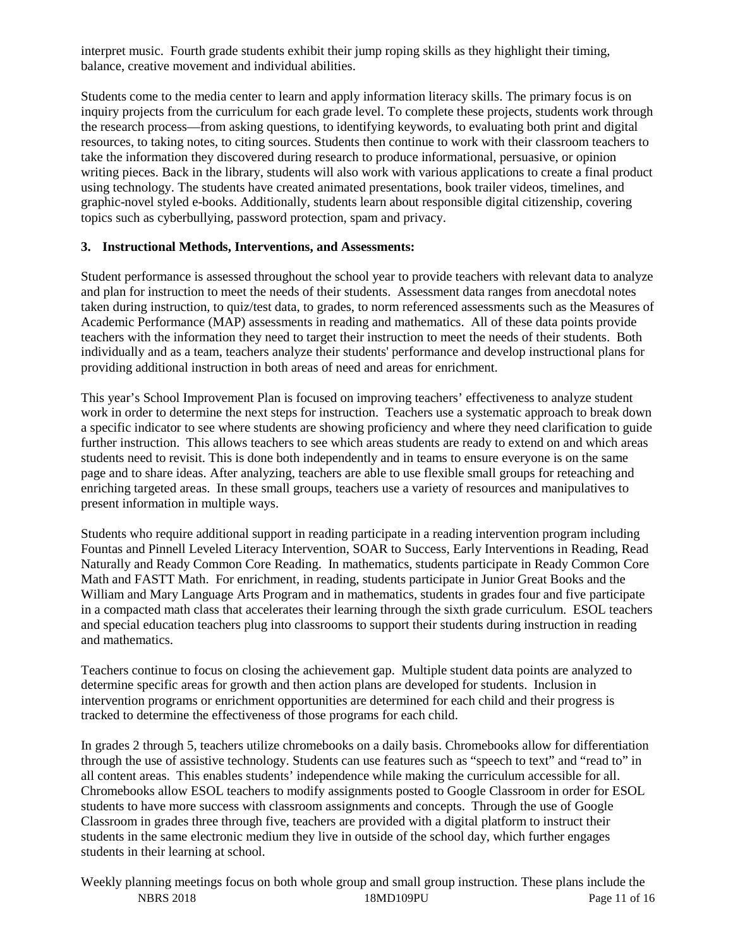interpret music. Fourth grade students exhibit their jump roping skills as they highlight their timing, balance, creative movement and individual abilities.

Students come to the media center to learn and apply information literacy skills. The primary focus is on inquiry projects from the curriculum for each grade level. To complete these projects, students work through the research process—from asking questions, to identifying keywords, to evaluating both print and digital resources, to taking notes, to citing sources. Students then continue to work with their classroom teachers to take the information they discovered during research to produce informational, persuasive, or opinion writing pieces. Back in the library, students will also work with various applications to create a final product using technology. The students have created animated presentations, book trailer videos, timelines, and graphic-novel styled e-books. Additionally, students learn about responsible digital citizenship, covering topics such as cyberbullying, password protection, spam and privacy.

#### **3. Instructional Methods, Interventions, and Assessments:**

Student performance is assessed throughout the school year to provide teachers with relevant data to analyze and plan for instruction to meet the needs of their students. Assessment data ranges from anecdotal notes taken during instruction, to quiz/test data, to grades, to norm referenced assessments such as the Measures of Academic Performance (MAP) assessments in reading and mathematics. All of these data points provide teachers with the information they need to target their instruction to meet the needs of their students. Both individually and as a team, teachers analyze their students' performance and develop instructional plans for providing additional instruction in both areas of need and areas for enrichment.

This year's School Improvement Plan is focused on improving teachers' effectiveness to analyze student work in order to determine the next steps for instruction. Teachers use a systematic approach to break down a specific indicator to see where students are showing proficiency and where they need clarification to guide further instruction. This allows teachers to see which areas students are ready to extend on and which areas students need to revisit. This is done both independently and in teams to ensure everyone is on the same page and to share ideas. After analyzing, teachers are able to use flexible small groups for reteaching and enriching targeted areas. In these small groups, teachers use a variety of resources and manipulatives to present information in multiple ways.

Students who require additional support in reading participate in a reading intervention program including Fountas and Pinnell Leveled Literacy Intervention, SOAR to Success, Early Interventions in Reading, Read Naturally and Ready Common Core Reading. In mathematics, students participate in Ready Common Core Math and FASTT Math. For enrichment, in reading, students participate in Junior Great Books and the William and Mary Language Arts Program and in mathematics, students in grades four and five participate in a compacted math class that accelerates their learning through the sixth grade curriculum. ESOL teachers and special education teachers plug into classrooms to support their students during instruction in reading and mathematics.

Teachers continue to focus on closing the achievement gap. Multiple student data points are analyzed to determine specific areas for growth and then action plans are developed for students. Inclusion in intervention programs or enrichment opportunities are determined for each child and their progress is tracked to determine the effectiveness of those programs for each child.

In grades 2 through 5, teachers utilize chromebooks on a daily basis. Chromebooks allow for differentiation through the use of assistive technology. Students can use features such as "speech to text" and "read to" in all content areas. This enables students' independence while making the curriculum accessible for all. Chromebooks allow ESOL teachers to modify assignments posted to Google Classroom in order for ESOL students to have more success with classroom assignments and concepts. Through the use of Google Classroom in grades three through five, teachers are provided with a digital platform to instruct their students in the same electronic medium they live in outside of the school day, which further engages students in their learning at school.

NBRS 2018 18MD109PU Page 11 of 16 Weekly planning meetings focus on both whole group and small group instruction. These plans include the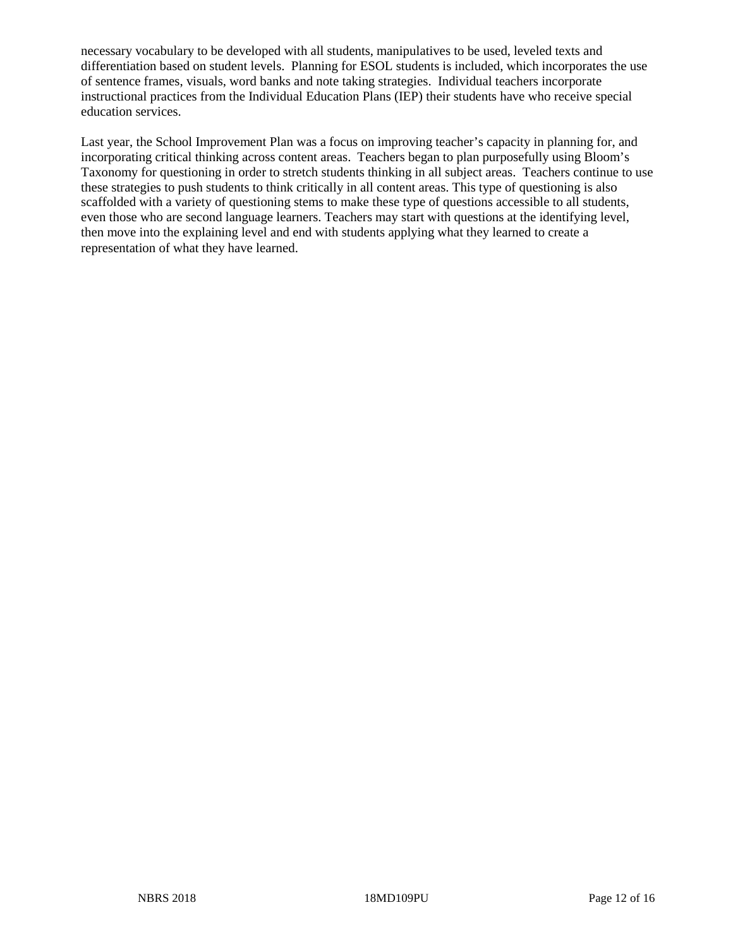necessary vocabulary to be developed with all students, manipulatives to be used, leveled texts and differentiation based on student levels. Planning for ESOL students is included, which incorporates the use of sentence frames, visuals, word banks and note taking strategies. Individual teachers incorporate instructional practices from the Individual Education Plans (IEP) their students have who receive special education services.

Last year, the School Improvement Plan was a focus on improving teacher's capacity in planning for, and incorporating critical thinking across content areas. Teachers began to plan purposefully using Bloom's Taxonomy for questioning in order to stretch students thinking in all subject areas. Teachers continue to use these strategies to push students to think critically in all content areas. This type of questioning is also scaffolded with a variety of questioning stems to make these type of questions accessible to all students, even those who are second language learners. Teachers may start with questions at the identifying level, then move into the explaining level and end with students applying what they learned to create a representation of what they have learned.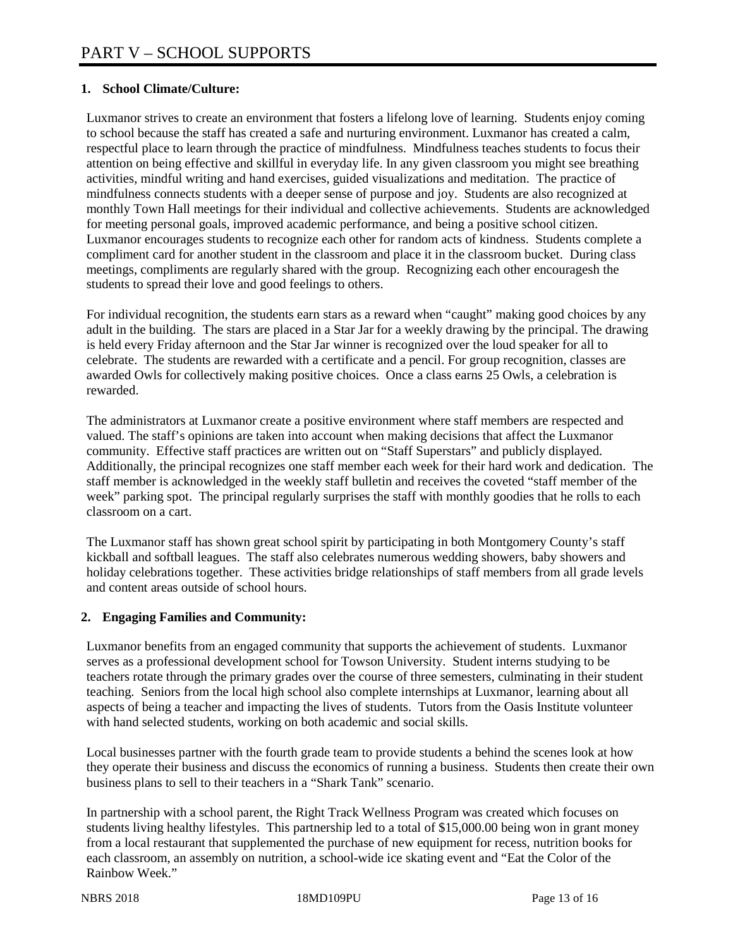#### **1. School Climate/Culture:**

Luxmanor strives to create an environment that fosters a lifelong love of learning. Students enjoy coming to school because the staff has created a safe and nurturing environment. Luxmanor has created a calm, respectful place to learn through the practice of mindfulness. Mindfulness teaches students to focus their attention on being effective and skillful in everyday life. In any given classroom you might see breathing activities, mindful writing and hand exercises, guided visualizations and meditation. The practice of mindfulness connects students with a deeper sense of purpose and joy. Students are also recognized at monthly Town Hall meetings for their individual and collective achievements. Students are acknowledged for meeting personal goals, improved academic performance, and being a positive school citizen. Luxmanor encourages students to recognize each other for random acts of kindness. Students complete a compliment card for another student in the classroom and place it in the classroom bucket. During class meetings, compliments are regularly shared with the group. Recognizing each other encouragesh the students to spread their love and good feelings to others.

For individual recognition, the students earn stars as a reward when "caught" making good choices by any adult in the building. The stars are placed in a Star Jar for a weekly drawing by the principal. The drawing is held every Friday afternoon and the Star Jar winner is recognized over the loud speaker for all to celebrate. The students are rewarded with a certificate and a pencil. For group recognition, classes are awarded Owls for collectively making positive choices. Once a class earns 25 Owls, a celebration is rewarded.

The administrators at Luxmanor create a positive environment where staff members are respected and valued. The staff's opinions are taken into account when making decisions that affect the Luxmanor community. Effective staff practices are written out on "Staff Superstars" and publicly displayed. Additionally, the principal recognizes one staff member each week for their hard work and dedication. The staff member is acknowledged in the weekly staff bulletin and receives the coveted "staff member of the week" parking spot. The principal regularly surprises the staff with monthly goodies that he rolls to each classroom on a cart.

The Luxmanor staff has shown great school spirit by participating in both Montgomery County's staff kickball and softball leagues. The staff also celebrates numerous wedding showers, baby showers and holiday celebrations together. These activities bridge relationships of staff members from all grade levels and content areas outside of school hours.

#### **2. Engaging Families and Community:**

Luxmanor benefits from an engaged community that supports the achievement of students. Luxmanor serves as a professional development school for Towson University. Student interns studying to be teachers rotate through the primary grades over the course of three semesters, culminating in their student teaching. Seniors from the local high school also complete internships at Luxmanor, learning about all aspects of being a teacher and impacting the lives of students. Tutors from the Oasis Institute volunteer with hand selected students, working on both academic and social skills.

Local businesses partner with the fourth grade team to provide students a behind the scenes look at how they operate their business and discuss the economics of running a business. Students then create their own business plans to sell to their teachers in a "Shark Tank" scenario.

In partnership with a school parent, the Right Track Wellness Program was created which focuses on students living healthy lifestyles. This partnership led to a total of \$15,000.00 being won in grant money from a local restaurant that supplemented the purchase of new equipment for recess, nutrition books for each classroom, an assembly on nutrition, a school-wide ice skating event and "Eat the Color of the Rainbow Week."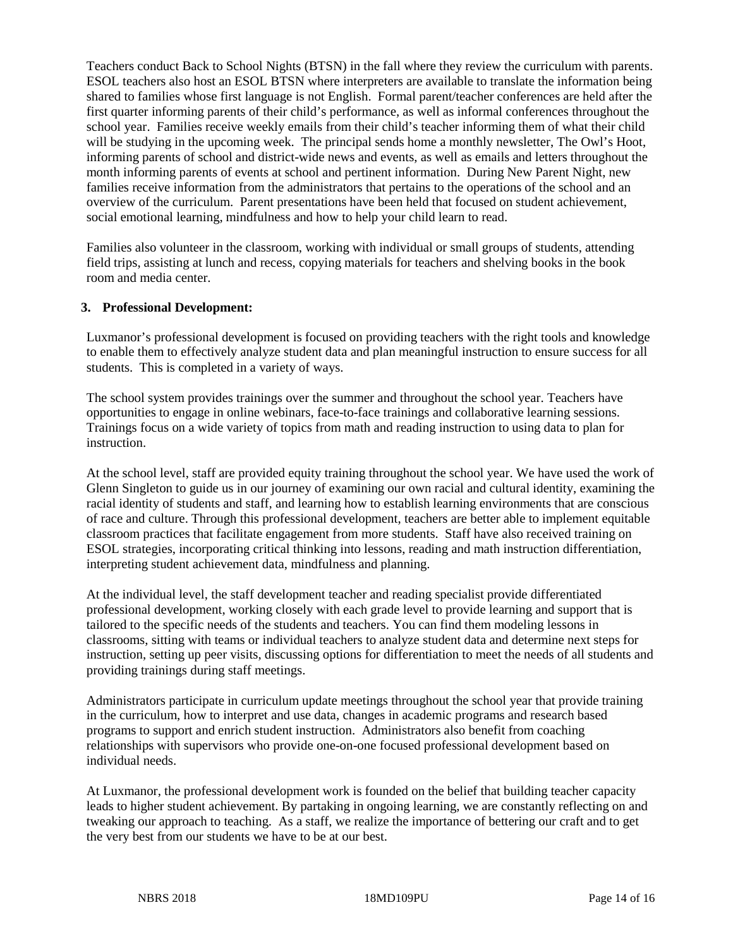Teachers conduct Back to School Nights (BTSN) in the fall where they review the curriculum with parents. ESOL teachers also host an ESOL BTSN where interpreters are available to translate the information being shared to families whose first language is not English. Formal parent/teacher conferences are held after the first quarter informing parents of their child's performance, as well as informal conferences throughout the school year. Families receive weekly emails from their child's teacher informing them of what their child will be studying in the upcoming week. The principal sends home a monthly newsletter, The Owl's Hoot, informing parents of school and district-wide news and events, as well as emails and letters throughout the month informing parents of events at school and pertinent information. During New Parent Night, new families receive information from the administrators that pertains to the operations of the school and an overview of the curriculum. Parent presentations have been held that focused on student achievement, social emotional learning, mindfulness and how to help your child learn to read.

Families also volunteer in the classroom, working with individual or small groups of students, attending field trips, assisting at lunch and recess, copying materials for teachers and shelving books in the book room and media center.

#### **3. Professional Development:**

Luxmanor's professional development is focused on providing teachers with the right tools and knowledge to enable them to effectively analyze student data and plan meaningful instruction to ensure success for all students. This is completed in a variety of ways.

The school system provides trainings over the summer and throughout the school year. Teachers have opportunities to engage in online webinars, face-to-face trainings and collaborative learning sessions. Trainings focus on a wide variety of topics from math and reading instruction to using data to plan for instruction.

At the school level, staff are provided equity training throughout the school year. We have used the work of Glenn Singleton to guide us in our journey of examining our own racial and cultural identity, examining the racial identity of students and staff, and learning how to establish learning environments that are conscious of race and culture. Through this professional development, teachers are better able to implement equitable classroom practices that facilitate engagement from more students. Staff have also received training on ESOL strategies, incorporating critical thinking into lessons, reading and math instruction differentiation, interpreting student achievement data, mindfulness and planning.

At the individual level, the staff development teacher and reading specialist provide differentiated professional development, working closely with each grade level to provide learning and support that is tailored to the specific needs of the students and teachers. You can find them modeling lessons in classrooms, sitting with teams or individual teachers to analyze student data and determine next steps for instruction, setting up peer visits, discussing options for differentiation to meet the needs of all students and providing trainings during staff meetings.

Administrators participate in curriculum update meetings throughout the school year that provide training in the curriculum, how to interpret and use data, changes in academic programs and research based programs to support and enrich student instruction. Administrators also benefit from coaching relationships with supervisors who provide one-on-one focused professional development based on individual needs.

At Luxmanor, the professional development work is founded on the belief that building teacher capacity leads to higher student achievement. By partaking in ongoing learning, we are constantly reflecting on and tweaking our approach to teaching. As a staff, we realize the importance of bettering our craft and to get the very best from our students we have to be at our best.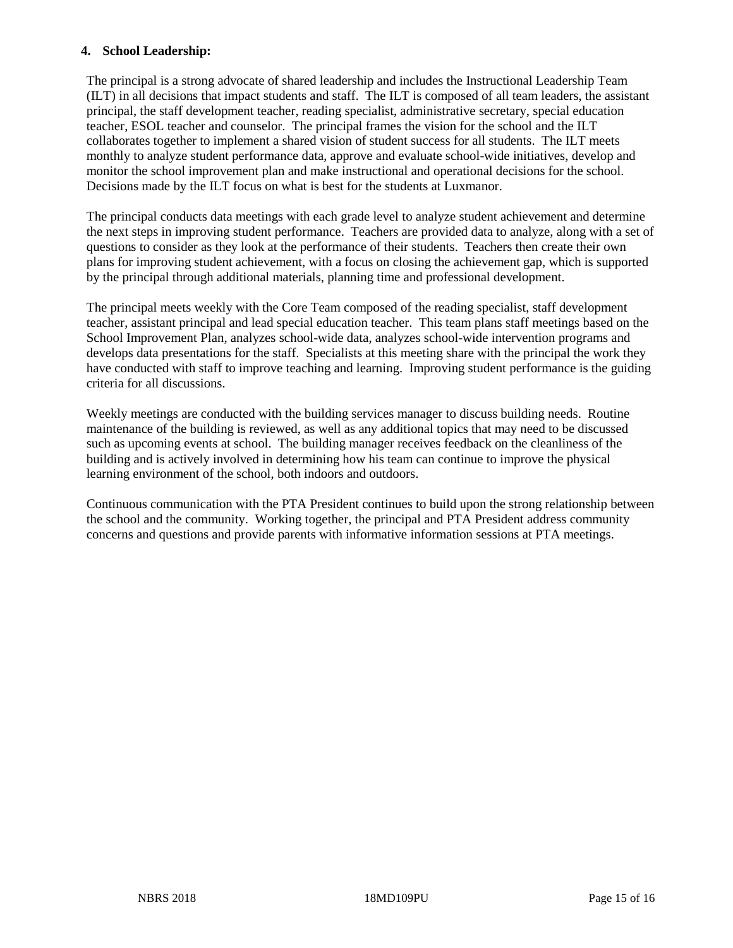#### **4. School Leadership:**

The principal is a strong advocate of shared leadership and includes the Instructional Leadership Team (ILT) in all decisions that impact students and staff. The ILT is composed of all team leaders, the assistant principal, the staff development teacher, reading specialist, administrative secretary, special education teacher, ESOL teacher and counselor. The principal frames the vision for the school and the ILT collaborates together to implement a shared vision of student success for all students. The ILT meets monthly to analyze student performance data, approve and evaluate school-wide initiatives, develop and monitor the school improvement plan and make instructional and operational decisions for the school. Decisions made by the ILT focus on what is best for the students at Luxmanor.

The principal conducts data meetings with each grade level to analyze student achievement and determine the next steps in improving student performance. Teachers are provided data to analyze, along with a set of questions to consider as they look at the performance of their students. Teachers then create their own plans for improving student achievement, with a focus on closing the achievement gap, which is supported by the principal through additional materials, planning time and professional development.

The principal meets weekly with the Core Team composed of the reading specialist, staff development teacher, assistant principal and lead special education teacher. This team plans staff meetings based on the School Improvement Plan, analyzes school-wide data, analyzes school-wide intervention programs and develops data presentations for the staff. Specialists at this meeting share with the principal the work they have conducted with staff to improve teaching and learning. Improving student performance is the guiding criteria for all discussions.

Weekly meetings are conducted with the building services manager to discuss building needs. Routine maintenance of the building is reviewed, as well as any additional topics that may need to be discussed such as upcoming events at school. The building manager receives feedback on the cleanliness of the building and is actively involved in determining how his team can continue to improve the physical learning environment of the school, both indoors and outdoors.

Continuous communication with the PTA President continues to build upon the strong relationship between the school and the community. Working together, the principal and PTA President address community concerns and questions and provide parents with informative information sessions at PTA meetings.